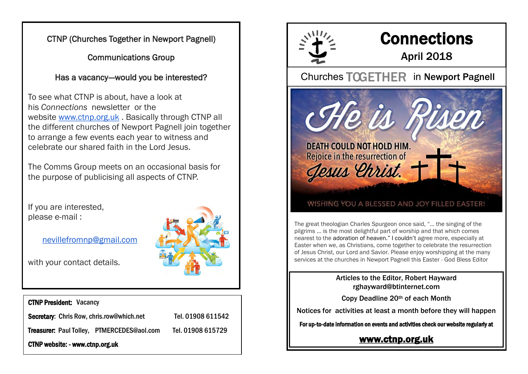CTNP (Churches Together in Newport Pagnell)

Communications Group

Has a vacancy--would you be interested?

To see what CTNP is about, have a look at his *Connections* newsletter or the website [www.ctnp.org.uk](http://www.ctnp.org.uk/) . Basically through CTNP all the different churches of Newport Pagnell join together to arrange a few events each year to witness and celebrate our shared faith in the Lord Jesus.

The Comms Group meets on an occasional basis for the purpose of publicising all aspects of CTNP.

If you are interested, please e-mail :

[nevillefromnp@gmail.com](mailto:nevillefromnp@gmail.com)

with your contact details.

### CTNP President: Vacancy

Secretary: Chris Row, chris.row@which.net Tel. 01908 611542

Treasurer: Paul Tolley, PTMERCEDES@aol.com Tel. 01908 615729

CTNP website: - www.ctnp.org.uk





# **Connections**

### April 2018

Churches TOGETHER in Newport Pagnell

**DEATH COULD NOT HOLD HIM.** Rejoice in the resurrection of Jesus Ehrist.

### WISHING YOU A BLESSED AND JOY FILLED EASTER!

The great theologian Charles Spurgeon once said, "… the singing of the pilgrims … is the most delightful part of worship and that which comes nearest to the adoration of [heaven.](https://www.biblestudytools.com/bible-study/topical-studies/what-is-heaven-like-11636670.html)" I couldn't agree more, especially at Easter when we, as Christians, come together to celebrate the resurrection of Jesus Christ, our Lord and Savior. Please enjoy worshipping at the many services at the churches in Newport Pagnell this Easter - God Bless Editor

> Articles to the Editor, Robert Hayward rghayward@btinternet.com

Copy Deadline 20th of each Month

Notices for activities at least a month before they will happen

For up-to-date information on events and activities check our website regularly at

### [www.ctnp.org.uk](http://www.ctnp.org.uk)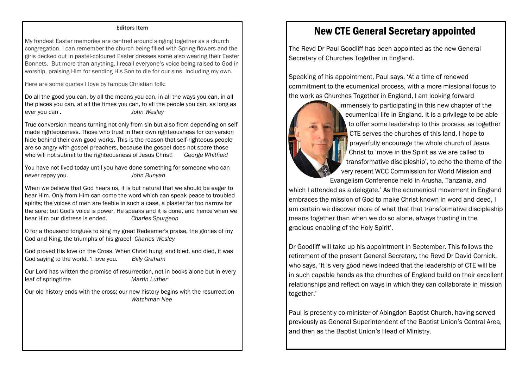#### **Editors Item**

My fondest Easter memories are centred around singing together as a church congregation. I can remember the church being filled with Spring flowers and the girls decked out in pastel-coloured Easter dresses some also wearing their Easter Bonnets. But more than anything, I recall everyone's voice being raised to God in worship, praising Him for sending His Son to die for our sins. Including my own.

Here are some quotes I love by famous Christian folk:

Do all the good you can, by all the means you can, in all the ways you can, in all the places you can, at all the times you can, to all the people you can, as long as ever you can . *John Wesley*

True conversion means turning not only from sin but also from depending on selfmade righteousness. Those who trust in their own righteousness for conversion hide behind their own good works. This is the reason that self-righteous people are so angry with gospel preachers, because the gospel does not spare those who will not submit to the righteousness of Jesus Christ! *George Whitfield*

You have not lived today until you have done something for someone who can never repay you. *John Bunyan*

When we believe that God hears us, it is but natural that we should be eager to hear Him. Only from Him can come the word which can speak peace to troubled spirits; the voices of men are feeble in such a case, a plaster far too narrow for the sore; but God's voice is power, He speaks and it is done, and hence when we hear Him our distress is ended. *Charles Spurgeon*

O for a thousand tongues to sing my great Redeemer's praise, the glories of my God and King, the triumphs of his grace! *Charles Wesley*

God proved His love on the Cross. When Christ hung, and bled, and died, it was God saying to the world, 'I love you. *Billy Graham*

Our Lord has written the promise of resurrection, not in books alone but in every leaf of springtime *Martin Luther*

Our old history ends with the cross; our new history begins with the resurrection *Watchman Nee*

### New CTE General Secretary appointed

The Revd Dr Paul Goodliff has been appointed as the new General Secretary of Churches Together in England.

Speaking of his appointment, Paul says, 'At a time of renewed commitment to the ecumenical process, with a more missional focus to the work as Churches Together in England, I am looking forward



immensely to participating in this new chapter of the ecumenical life in England. It is a privilege to be able to offer some leadership to this process, as together CTE serves the churches of this land. I hope to prayerfully encourage the whole church of Jesus Christ to 'move in the Spirit as we are called to transformative discipleship', to echo the theme of the very recent WCC Commission for World Mission and

Evangelism Conference held in Arusha, Tanzania, and which I attended as a delegate.' As the ecumenical movement in England embraces the mission of God to make Christ known in word and deed, I am certain we discover more of what that that transformative discipleship means together than when we do so alone, always trusting in the gracious enabling of the Holy Spirit'.

Dr Goodliff will take up his appointment in September. This follows the retirement of the present General Secretary, the Revd Dr David Cornick, who says, 'It is very good news indeed that the leadership of CTE will be in such capable hands as the churches of England build on their excellent relationships and reflect on ways in which they can collaborate in mission together.'

Paul is presently co-minister of Abingdon Baptist Church, having served previously as General Superintendent of the Baptist Union's Central Area, and then as the Baptist Union's Head of Ministry.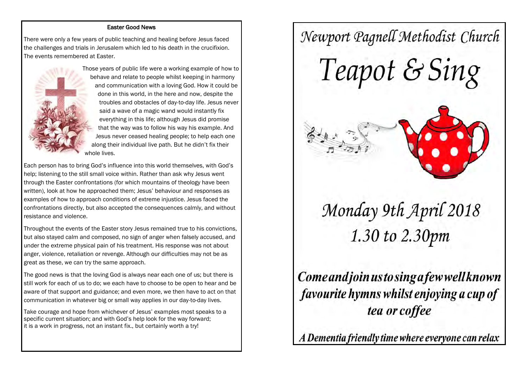### Easter Good News

There were only a few years of public teaching and healing before Jesus faced the challenges and trials in Jerusalem which led to his death in the crucifixion. The events remembered at Easter.



Those years of public life were a working example of how to behave and relate to people whilst keeping in harmony and communication with a loving God. How it could be done in this world, in the here and now, despite the troubles and obstacles of day-to-day life. Jesus never said a wave of a magic wand would instantly fix everything in this life; although Jesus did promise that the way was to follow his way his example. And Jesus never ceased healing people; to help each one along their individual live path. But he didn't fix their whole lives.

Each person has to bring God's influence into this world themselves, with God's help; listening to the still small voice within. Rather than ask why Jesus went through the Easter confrontations (for which mountains of theology have been written), look at how he approached them; Jesus' behaviour and responses as examples of how to approach conditions of extreme injustice. Jesus faced the confrontations directly, but also accepted the consequences calmly, and without resistance and violence.

Throughout the events of the Easter story Jesus remained true to his convictions, but also stayed calm and composed, no sign of anger when falsely accused, and under the extreme physical pain of his treatment. His response was not about anger, violence, retaliation or revenge. Although our difficulties may not be as great as these, we can try the same approach.

The good news is that the loving God is always near each one of us; but there is still work for each of us to do; we each have to choose to be open to hear and be aware of that support and guidance; and even more, we then have to act on that communication in whatever big or small way applies in our day-to-day lives.

Take courage and hope from whichever of Jesus' examples most speaks to a specific current situation; and with God's help look for the way forward; it is a work in progress, not an instant fix., but certainly worth a try!

# Newport Pagnell Methodist Church Teapot & Sing

# Monday 9th April 2018 1.30 to 2.30pm

Come and join us to sing a few well known favourite hymns whilst enjoying a cup of tea or coffee

A Dementia friendly time where everyone can relax